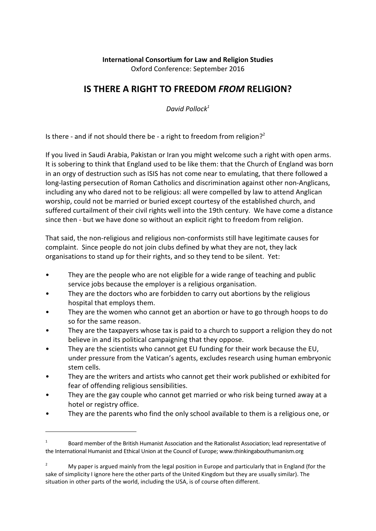### **International Consortium for Law and Religion Studies** Oxford Conference: September 2016

# **IS THERE A RIGHT TO FREEDOM** *FROM* **RELIGION?**

*David Pollock<sup>1</sup>*

Is there - and if not should there be - a right to freedom from religion?<sup>2</sup>

If you lived in Saudi Arabia, Pakistan or Iran you might welcome such a right with open arms. It is sobering to think that England used to be like them: that the Church of England was born in an orgy of destruction such as ISIS has not come near to emulating, that there followed a long-lasting persecution of Roman Catholics and discrimination against other non-Anglicans, including any who dared not to be religious: all were compelled by law to attend Anglican worship, could not be married or buried except courtesy of the established church, and suffered curtailment of their civil rights well into the 19th century. We have come a distance since then - but we have done so without an explicit right to freedom from religion.

That said, the non-religious and religious non-conformists still have legitimate causes for complaint. Since people do not join clubs defined by what they are not, they lack organisations to stand up for their rights, and so they tend to be silent. Yet:

- They are the people who are not eligible for a wide range of teaching and public service jobs because the employer is a religious organisation.
- They are the doctors who are forbidden to carry out abortions by the religious hospital that employs them.
- They are the women who cannot get an abortion or have to go through hoops to do so for the same reason.
- They are the taxpayers whose tax is paid to a church to support a religion they do not believe in and its political campaigning that they oppose.
- They are the scientists who cannot get EU funding for their work because the EU, under pressure from the Vatican's agents, excludes research using human embryonic stem cells.
- They are the writers and artists who cannot get their work published or exhibited for fear of offending religious sensibilities.
- They are the gay couple who cannot get married or who risk being turned away at a hotel or registry office.
- They are the parents who find the only school available to them is a religious one, or

<sup>1</sup> Board member of the British Humanist Association and the Rationalist Association; lead representative of the International Humanist and Ethical Union at the Council of Europe; www.thinkingabouthumanism.org

<sup>&</sup>lt;sup>2</sup> My paper is argued mainly from the legal position in Europe and particularly that in England (for the sake of simplicity I ignore here the other parts of the United Kingdom but they are usually similar). The situation in other parts of the world, including the USA, is of course often different.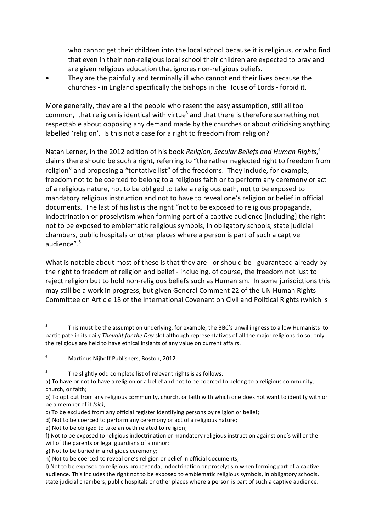who cannot get their children into the local school because it is religious, or who find that even in their non-religious local school their children are expected to pray and are given religious education that ignores non-religious beliefs.

• They are the painfully and terminally ill who cannot end their lives because the churches - in England specifically the bishops in the House of Lords - forbid it.

More generally, they are all the people who resent the easy assumption, still all too common, that religion is identical with virtue<sup>3</sup> and that there is therefore something not respectable about opposing any demand made by the churches or about criticising anything labelled 'religion'. Is this not a case for a right to freedom from religion?

Natan Lerner, in the 2012 edition of his book *Religion, Secular Beliefs and Human Rights*, 4 claims there should be such a right, referring to "the rather neglected right to freedom from religion" and proposing a "tentative list" of the freedoms. They include, for example, freedom not to be coerced to belong to a religious faith or to perform any ceremony or act of a religious nature, not to be obliged to take a religious oath, not to be exposed to mandatory religious instruction and not to have to reveal one's religion or belief in official documents. The last of his list is the right "not to be exposed to religious propaganda, indoctrination or proselytism when forming part of a captive audience [including] the right not to be exposed to emblematic religious symbols, in obligatory schools, state judicial chambers, public hospitals or other places where a person is part of such a captive audience".<sup>5</sup>

What is notable about most of these is that they are - or should be - guaranteed already by the right to freedom of religion and belief - including, of course, the freedom not just to reject religion but to hold non-religious beliefs such as Humanism. In some jurisdictions this may still be a work in progress, but given General Comment 22 of the UN Human Rights Committee on Article 18 of the International Covenant on Civil and Political Rights (which is

g) Not to be buried in a religious ceremony;

<sup>3</sup> This must be the assumption underlying, for example, the BBC's unwillingness to allow Humanists to participate in its daily *Thought for the Day* slot although representatives of all the major religions do so: only the religious are held to have ethical insights of any value on current affairs.

<sup>4</sup> Martinus Nijhoff Publishers, Boston, 2012.

<sup>5</sup> The slightly odd complete list of relevant rights is as follows:

a) To have or not to have a religion or a belief and not to be coerced to belong to a religious community, church, or faith;

b) To opt out from any religious community, church, or faith with which one does not want to identify with or be a member of it *(sic)*;

c) To be excluded from any official register identifying persons by religion or belief;

d) Not to be coerced to perform any ceremony or act of a religious nature;

e) Not to be obliged to take an oath related to religion;

f) Not to be exposed to religious indoctrination or mandatory religious instruction against one's will or the will of the parents or legal guardians of a minor;

h) Not to be coerced to reveal one's religion or belief in official documents;

I) Not to be exposed to religious propaganda, indoctrination or proselytism when forming part of a captive audience. This includes the right not to be exposed to emblematic religious symbols, in obligatory schools, state judicial chambers, public hospitals or other places where a person is part of such a captive audience.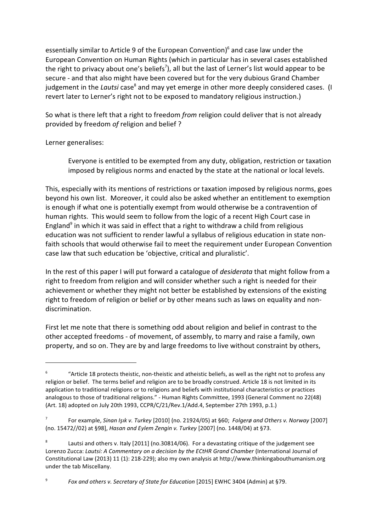essentially similar to Article 9 of the European Convention)<sup>6</sup> and case law under the European Convention on Human Rights (which in particular has in several cases established the right to privacy about one's beliefs<sup>7</sup>), all but the last of Lerner's list would appear to be secure - and that also might have been covered but for the very dubious Grand Chamber judgement in the *Lautsi* case<sup>8</sup> and may yet emerge in other more deeply considered cases. (I revert later to Lerner's right not to be exposed to mandatory religious instruction.)

So what is there left that a right to freedom *from* religion could deliver that is not already provided by freedom *of* religion and belief ?

Lerner generalises:

Everyone is entitled to be exempted from any duty, obligation, restriction or taxation imposed by religious norms and enacted by the state at the national or local levels.

This, especially with its mentions of restrictions or taxation imposed by religious norms, goes beyond his own list. Moreover, it could also be asked whether an entitlement to exemption is enough if what one is potentially exempt from would otherwise be a contravention of human rights. This would seem to follow from the logic of a recent High Court case in England<sup>9</sup> in which it was said in effect that a right to withdraw a child from religious education was not sufficient to render lawful a syllabus of religious education in state nonfaith schools that would otherwise fail to meet the requirement under European Convention case law that such education be 'objective, critical and pluralistic'.

In the rest of this paper I will put forward a catalogue of *desiderata* that might follow from a right to freedom from religion and will consider whether such a right is needed for their achievement or whether they might not better be established by extensions of the existing right to freedom of religion or belief or by other means such as laws on equality and nondiscrimination.

First let me note that there is something odd about religion and belief in contrast to the other accepted freedoms - of movement, of assembly, to marry and raise a family, own property, and so on. They are by and large freedoms to live without constraint by others,

9 *Fox and others v. Secretary of State for Education* [2015] EWHC 3404 (Admin) at §79.

<sup>6</sup> "Article 18 protects theistic, non-theistic and atheistic beliefs, as well as the right not to profess any religion or belief. The terms belief and religion are to be broadly construed. Article 18 is not limited in its application to traditional religions or to religions and beliefs with institutional characteristics or practices analogous to those of traditional religions." - Human Rights Committee, 1993 (General Comment no 22(48) (Art. 18) adopted on July 20th 1993, CCPR/C/21/Rev.1/Add.4, September 27th 1993, p.1.)

<sup>7</sup> For example, *Sinan Işık v. Turkey* [2010] (no. 21924/05) at §60; Folgerø and Others v. Norway [2007] (no. 15472//02) at §98], *Hasan and Eylem Zengin v. Turkey* [2007] (no. 1448/04) at §73.

<sup>8</sup> Lautsi and others v. Italy [2011] (no.30814/06). For a devastating critique of the judgement see Lorenzo Zucca: *Lautsi: A Commentary on a decision by the ECtHR Grand Chamber* (International Journal of Constitutional Law (2013) 11 (1): 218-229); also my own analysis at http://www.thinkingabouthumanism.org under the tab Miscellany.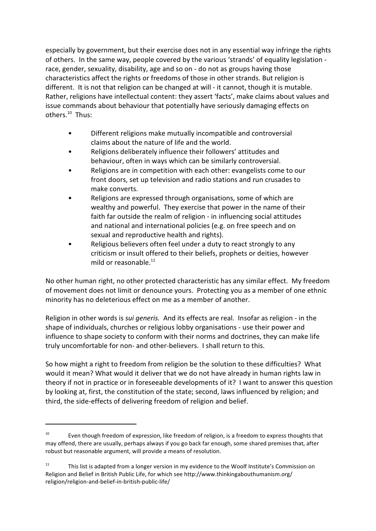especially by government, but their exercise does not in any essential way infringe the rights of others. In the same way, people covered by the various 'strands' of equality legislation race, gender, sexuality, disability, age and so on - do not as groups having those characteristics affect the rights or freedoms of those in other strands. But religion is different. It is not that religion can be changed at will - it cannot, though it is mutable. Rather, religions have intellectual content: they assert 'facts', make claims about values and issue commands about behaviour that potentially have seriously damaging effects on others.<sup>10</sup> Thus:

- Different religions make mutually incompatible and controversial claims about the nature of life and the world.
- Religions deliberately influence their followers' attitudes and behaviour, often in ways which can be similarly controversial.
- Religions are in competition with each other: evangelists come to our front doors, set up television and radio stations and run crusades to make converts.
- Religions are expressed through organisations, some of which are wealthy and powerful. They exercise that power in the name of their faith far outside the realm of religion - in influencing social attitudes and national and international policies (e.g. on free speech and on sexual and reproductive health and rights).
- Religious believers often feel under a duty to react strongly to any criticism or insult offered to their beliefs, prophets or deities, however mild or reasonable. $^{11}$

No other human right, no other protected characteristic has any similar effect. My freedom of movement does not limit or denounce yours. Protecting you as a member of one ethnic minority has no deleterious effect on me as a member of another.

Religion in other words is *sui generis.* And its effects are real. Insofar as religion - in the shape of individuals, churches or religious lobby organisations - use their power and influence to shape society to conform with their norms and doctrines, they can make life truly uncomfortable for non- and other-believers. I shall return to this.

So how might a right to freedom from religion be the solution to these difficulties? What would it mean? What would it deliver that we do not have already in human rights law in theory if not in practice or in foreseeable developments of it? I want to answer this question by looking at, first, the constitution of the state; second, laws influenced by religion; and third, the side-effects of delivering freedom of religion and belief.

 $10$  Even though freedom of expression, like freedom of religion, is a freedom to express thoughts that may offend, there are usually, perhaps always if you go back far enough, some shared premises that, after robust but reasonable argument, will provide a means of resolution.

 $11$  This list is adapted from a longer version in my evidence to the Woolf Institute's Commission on Religion and Belief in British Public Life, for which see http://www.thinkingabouthumanism.org/ religion/religion-and-belief-in-british-public-life/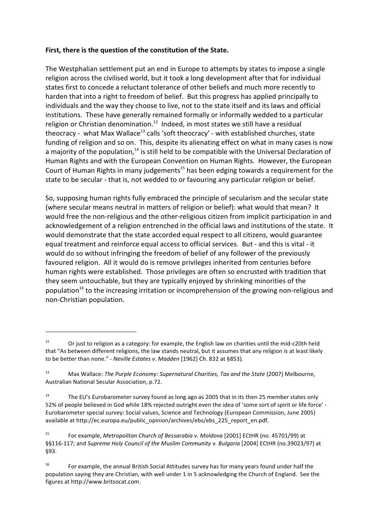#### **First, there is the question of the constitution of the State.**

The Westphalian settlement put an end in Europe to attempts by states to impose a single religion across the civilised world, but it took a long development after that for individual states first to concede a reluctant tolerance of other beliefs and much more recently to harden that into a right to freedom of belief. But this progress has applied principally to individuals and the way they choose to live, not to the state itself and its laws and official institutions. These have generally remained formally or informally wedded to a particular religion or Christian denomination.<sup>12</sup> Indeed, in most states we still have a residual theocracy - what Max Wallace<sup>13</sup> calls 'soft theocracy' - with established churches, state funding of religion and so on. This, despite its alienating effect on what in many cases is now a majority of the population,<sup>14</sup> is still held to be compatible with the Universal Declaration of Human Rights and with the European Convention on Human Rights. However, the European Court of Human Rights in many judgements<sup>15</sup> has been edging towards a requirement for the state to be secular - that is, not wedded to or favouring any particular religion or belief.

So, supposing human rights fully embraced the principle of secularism and the secular state (where secular means neutral in matters of religion or belief): what would that mean? It would free the non-religious and the other-religious citizen from implicit participation in and acknowledgement of a religion entrenched in the official laws and institutions of the state. It would demonstrate that the state accorded equal respect to all citizens, would guarantee equal treatment and reinforce equal access to official services. But - and this is vital - it would do so without infringing the freedom of belief of any follower of the previously favoured religion. All it would do is remove privileges inherited from centuries before human rights were established. Those privileges are often so encrusted with tradition that they seem untouchable, but they are typically enjoyed by shrinking minorities of the population<sup>16</sup> to the increasing irritation or incomprehension of the growing non-religious and non-Christian population.

<sup>&</sup>lt;sup>12</sup> Or just to religion as a category: for example, the English law on charities until the mid-c20th held that "As between different religions, the law stands neutral, but it assumes that any religion is at least likely to be better than none." - *Neville Estates v. Madden* [1962] Ch. 832 at §853).

<sup>&</sup>lt;sup>13</sup> Max Wallace: *The Purple Economy: Supernatural Charities, Tax and the State (2007) Melbourne,* Australian National Secular Association, p.72.

<sup>&</sup>lt;sup>14</sup> The EU's Eurobarometer survey found as long ago as 2005 that in its then 25 member states only 52% of people believed in God while 18% rejected outright even the idea of 'some sort of spirit or life force' - Eurobarometer special survey: Social values, Science and Technology (European Commission, June 2005) available at http://ec.europa.eu/public\_opinion/archives/ebs/ebs\_225\_report\_en.pdf.

<sup>15</sup> For example, *Metropolitan Church of Bessarabia v. Moldova* [2001] ECtHR (no. 45701/99) at §§116-117; and *Supreme Holy Council of the Muslim Community v. Bulgaria* [2004] ECtHR (no.39023/97) at §93.

<sup>&</sup>lt;sup>16</sup> For example, the annual British Social Attitudes survey has for many years found under half the population saying they are Christian, with well under 1 in 5 acknowledging the Church of England. See the figures at http://www.britsocat.com.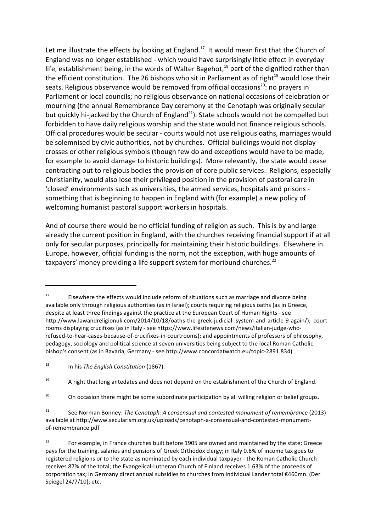Let me illustrate the effects by looking at England.<sup>17</sup> It would mean first that the Church of England was no longer established - which would have surprisingly little effect in everyday life, establishment being, in the words of Walter Bagehot,<sup>18</sup> part of the dignified rather than the efficient constitution. The 26 bishops who sit in Parliament as of right<sup>19</sup> would lose their seats. Religious observance would be removed from official occasions<sup>20</sup>: no prayers in Parliament or local councils; no religious observance on national occasions of celebration or mourning (the annual Remembrance Day ceremony at the Cenotaph was originally secular but quickly hi-jacked by the Church of England<sup>21</sup>). State schools would not be compelled but forbidden to have daily religious worship and the state would not finance religious schools. Official procedures would be secular - courts would not use religious oaths, marriages would be solemnised by civic authorities, not by churches. Official buildings would not display crosses or other religious symbols (though few do and exceptions would have to be made, for example to avoid damage to historic buildings). More relevantly, the state would cease contracting out to religious bodies the provision of core public services. Religions, especially Christianity, would also lose their privileged position in the provision of pastoral care in 'closed' environments such as universities, the armed services, hospitals and prisons something that is beginning to happen in England with (for example) a new policy of welcoming humanist pastoral support workers in hospitals.

And of course there would be no official funding of religion as such. This is by and large already the current position in England, with the churches receiving financial support if at all only for secular purposes, principally for maintaining their historic buildings. Elsewhere in Europe, however, official funding is the norm, not the exception, with huge amounts of taxpayers' money providing a life support system for moribund churches. $^{22}$ 

 $19$  A right that long antedates and does not depend on the establishment of the Church of England.

<sup>20</sup> On occasion there might be some subordinate participation by all willing religion or belief groups.

<sup>21</sup> See Norman Bonney: *The Cenotaph: A consensual and contested monument of remembrance* (2013) available at http://www.secularism.org.uk/uploads/cenotaph-a-consensual-and-contested-monumentof-remembrance.pdf

<sup>22</sup> For example, in France churches built before 1905 are owned and maintained by the state; Greece pays for the training, salaries and pensions of Greek Orthodox clergy; in Italy 0.8% of income tax goes to registered religions or to the state as nominated by each individual taxpayer - the Roman Catholic Church receives 87% of the total; the Evangelical-Lutheran Church of Finland receives 1.63% of the proceeds of corporation tax; in Germany direct annual subsidies to churches from individual Lander total €460mn. (Der Spiegel 24/7/10); etc.

 $17$  Elsewhere the effects would include reform of situations such as marriage and divorce being available only through religious authorities (as in Israel); courts requiring religious oaths (as in Greece, despite at least three findings against the practice at the European Court of Human Rights - see http://www.lawandreligionuk.com/2014/10/18/oaths-the-greek-judicial- system-and-article-9-again/); court rooms displaying crucifixes (as in Italy - see https://www.lifesitenews.com/news/italian-judge-whorefused-to-hear-cases-because-of-crucifixes-in-courtrooms); and appointments of professors of philosophy, pedagogy, sociology and political science at seven universities being subject to the local Roman Catholic bishop's consent (as in Bavaria, Germany - see http://www.concordatwatch.eu/topic-2891.834).

<sup>18</sup> In his *The English Constitution* (1867).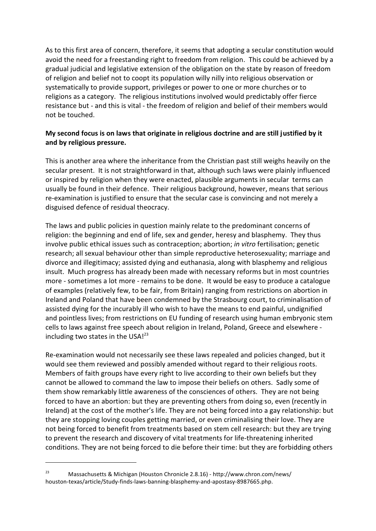As to this first area of concern, therefore, it seems that adopting a secular constitution would avoid the need for a freestanding right to freedom from religion. This could be achieved by a gradual judicial and legislative extension of the obligation on the state by reason of freedom of religion and belief not to coopt its population willy nilly into religious observation or systematically to provide support, privileges or power to one or more churches or to religions as a category. The religious institutions involved would predictably offer fierce resistance but - and this is vital - the freedom of religion and belief of their members would not be touched.

## **My second focus is on laws that originate in religious doctrine and are still justified by it and by religious pressure.**

This is another area where the inheritance from the Christian past still weighs heavily on the secular present. It is not straightforward in that, although such laws were plainly influenced or inspired by religion when they were enacted, plausible arguments in secular terms can usually be found in their defence. Their religious background, however, means that serious re-examination is justified to ensure that the secular case is convincing and not merely a disguised defence of residual theocracy.

The laws and public policies in question mainly relate to the predominant concerns of religion: the beginning and end of life, sex and gender, heresy and blasphemy. They thus involve public ethical issues such as contraception; abortion; *in vitro* fertilisation; genetic research; all sexual behaviour other than simple reproductive heterosexuality; marriage and divorce and illegitimacy; assisted dying and euthanasia, along with blasphemy and religious insult. Much progress has already been made with necessary reforms but in most countries more - sometimes a lot more - remains to be done. It would be easy to produce a catalogue of examples (relatively few, to be fair, from Britain) ranging from restrictions on abortion in Ireland and Poland that have been condemned by the Strasbourg court, to criminalisation of assisted dying for the incurably ill who wish to have the means to end painful, undignified and pointless lives; from restrictions on EU funding of research using human embryonic stem cells to laws against free speech about religion in Ireland, Poland, Greece and elsewhere including two states in the USA! $^{23}$ 

Re-examination would not necessarily see these laws repealed and policies changed, but it would see them reviewed and possibly amended without regard to their religious roots. Members of faith groups have every right to live according to their own beliefs but they cannot be allowed to command the law to impose their beliefs on others. Sadly some of them show remarkably little awareness of the consciences of others. They are not being forced to have an abortion: but they are preventing others from doing so, even (recently in Ireland) at the cost of the mother's life. They are not being forced into a gay relationship: but they are stopping loving couples getting married, or even criminalising their love. They are not being forced to benefit from treatments based on stem cell research: but they are trying to prevent the research and discovery of vital treatments for life-threatening inherited conditions. They are not being forced to die before their time: but they are forbidding others

<sup>23</sup> Massachusetts & Michigan (Houston Chronicle 2.8.16) - http://www.chron.com/news/ houston-texas/article/Study-finds-laws-banning-blasphemy-and-apostasy-8987665.php.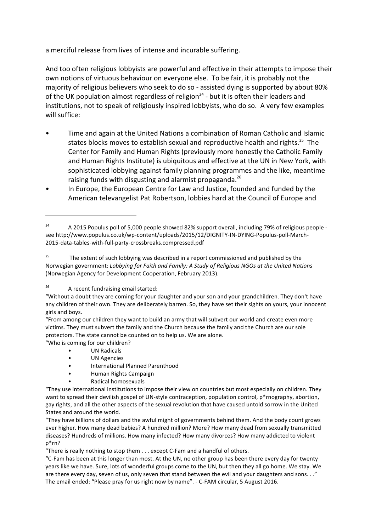a merciful release from lives of intense and incurable suffering.

And too often religious lobbyists are powerful and effective in their attempts to impose their own notions of virtuous behaviour on everyone else. To be fair, it is probably not the majority of religious believers who seek to do so - assisted dying is supported by about 80% of the UK population almost regardless of religion<sup>24</sup> - but it is often their leaders and institutions, not to speak of religiously inspired lobbyists, who do so. A very few examples will suffice:

- Time and again at the United Nations a combination of Roman Catholic and Islamic states blocks moves to establish sexual and reproductive health and rights.<sup>25</sup> The Center for Family and Human Rights (previously more honestly the Catholic Family and Human Rights Institute) is ubiquitous and effective at the UN in New York, with sophisticated lobbying against family planning programmes and the like, meantime raising funds with disgusting and alarmist propaganda.<sup>26</sup>
- In Europe, the European Centre for Law and Justice, founded and funded by the American televangelist Pat Robertson, lobbies hard at the Council of Europe and

"Who is coming for our children?

- UN Radicals
- UN Agencies
- International Planned Parenthood
- Human Rights Campaign
- Radical homosexuals

"There is really nothing to stop them . . . except C-Fam and a handful of others.

 $24$  A 2015 Populus poll of 5,000 people showed 82% support overall, including 79% of religious people see http://www.populus.co.uk/wp-content/uploads/2015/12/DIGNITY-IN-DYING-Populus-poll-March-2015-data-tables-with-full-party-crossbreaks.compressed.pdf

<sup>&</sup>lt;sup>25</sup> The extent of such lobbying was described in a report commissioned and published by the Norwegian government: *Lobbying for Faith and Family: A Study of Religious NGOs at the United Nations* (Norwegian Agency for Development Cooperation, February 2013).

 $26$  A recent fundraising email started:

<sup>&</sup>quot;Without a doubt they are coming for your daughter and your son and your grandchildren. They don't have any children of their own. They are deliberately barren. So, they have set their sights on yours, your innocent girls and boys.

<sup>&</sup>quot;From among our children they want to build an army that will subvert our world and create even more victims. They must subvert the family and the Church because the family and the Church are our sole protectors. The state cannot be counted on to help us. We are alone.

<sup>&</sup>quot;They use international institutions to impose their view on countries but most especially on children. They want to spread their devilish gospel of UN-style contraception, population control, p\*rnography, abortion, gay rights, and all the other aspects of the sexual revolution that have caused untold sorrow in the United States and around the world.

<sup>&</sup>quot;They have billions of dollars and the awful might of governments behind them. And the body count grows ever higher. How many dead babies? A hundred million? More? How many dead from sexually transmitted diseases? Hundreds of millions. How many infected? How many divorces? How many addicted to violent p\*rn?

<sup>&</sup>quot;C-Fam has been at this longer than most. At the UN, no other group has been there every day for twenty years like we have. Sure, lots of wonderful groups come to the UN, but then they all go home. We stay. We are there every day, seven of us, only seven that stand between the evil and your daughters and sons. . ." The email ended: "Please pray for us right now by name". - C-FAM circular, 5 August 2016.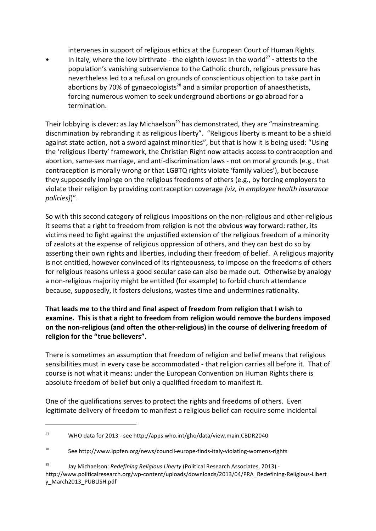intervenes in support of religious ethics at the European Court of Human Rights.

• In Italy, where the low birthrate - the eighth lowest in the world<sup>27</sup> - attests to the population's vanishing subservience to the Catholic church, religious pressure has nevertheless led to a refusal on grounds of conscientious objection to take part in abortions by 70% of gynaecologists<sup>28</sup> and a similar proportion of anaesthetists, forcing numerous women to seek underground abortions or go abroad for a termination.

Their lobbying is clever: as Jay Michaelson<sup>29</sup> has demonstrated, they are "mainstreaming discrimination by rebranding it as religious liberty". "Religious liberty is meant to be a shield against state action, not a sword against minorities", but that is how it is being used: "Using the 'religious liberty' framework, the Christian Right now attacks access to contraception and abortion, same-sex marriage, and anti-discrimination laws - not on moral grounds (e.g., that contraception is morally wrong or that LGBTQ rights violate 'family values'), but because they supposedly impinge on the religious freedoms of others (e.g., by forcing employers to violate their religion by providing contraception coverage *[viz, in employee health insurance policies]*)".

So with this second category of religious impositions on the non-religious and other-religious it seems that a right to freedom from religion is not the obvious way forward: rather, its victims need to fight against the unjustified extension of the religious freedom of a minority of zealots at the expense of religious oppression of others, and they can best do so by asserting their own rights and liberties, including their freedom of belief. A religious majority is not entitled, however convinced of its righteousness, to impose on the freedoms of others for religious reasons unless a good secular case can also be made out. Otherwise by analogy a non-religious majority might be entitled (for example) to forbid church attendance because, supposedly, it fosters delusions, wastes time and undermines rationality.

**That leads me to the third and final aspect of freedom from religion that I wish to examine. This is that a right to freedom from religion would remove the burdens imposed on the non-religious (and often the other-religious) in the course of delivering freedom of religion for the "true believers".**

There is sometimes an assumption that freedom of religion and belief means that religious sensibilities must in every case be accommodated - that religion carries all before it. That of course is not what it means: under the European Convention on Human Rights there is absolute freedom of belief but only a qualified freedom to manifest it.

One of the qualifications serves to protect the rights and freedoms of others. Even legitimate delivery of freedom to manifest a religious belief can require some incidental

<sup>27</sup> WHO data for 2013 - see http://apps.who.int/gho/data/view.main.CBDR2040

<sup>&</sup>lt;sup>28</sup> See http://www.ippfen.org/news/council-europe-finds-italy-violating-womens-rights

<sup>29</sup> Jay Michaelson: *Redefining Religious Liberty* (Political Research Associates, 2013) http://www.politicalresearch.org/wp-content/uploads/downloads/2013/04/PRA\_Redefining-Religious-Libert y\_March2013\_PUBLISH.pdf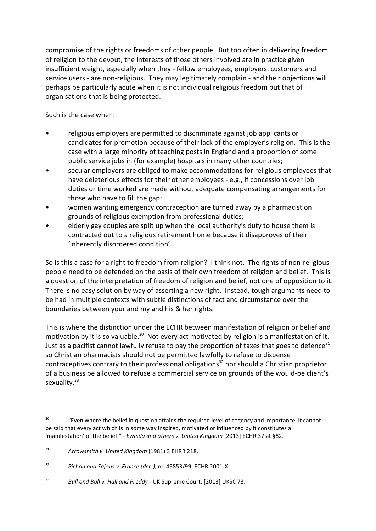compromise of the rights or freedoms of other people. But too often in delivering freedom of religion to the devout, the interests of those others involved are in practice given insufficient weight, especially when they - fellow employees, employers, customers and service users - are non-religious. They may legitimately complain - and their objections will perhaps be particularly acute when it is not individual religious freedom but that of organisations that is being protected.

Such is the case when:

- religious employers are permitted to discriminate against job applicants or candidates for promotion because of their lack of the employer's religion. This is the case with a large minority of teaching posts in England and a proportion of some public service jobs in (for example) hospitals in many other countries;
- secular employers are obliged to make accommodations for religious employees that have deleterious effects for their other employees - e.g., if concessions over job duties or time worked are made without adequate compensating arrangements for those who have to fill the gap;
- women wanting emergency contraception are turned away by a pharmacist on grounds of religious exemption from professional duties;
- elderly gay couples are split up when the local authority's duty to house them is contracted out to a religious retirement home because it disapproves of their 'inherently disordered condition'.

So is this a case for a right to freedom from religion? I think not. The rights of non-religious people need to be defended on the basis of their own freedom of religion and belief. This is a question of the interpretation of freedom of religion and belief, not one of opposition to it. There is no easy solution by way of asserting a new right. Instead, tough arguments need to be had in multiple contexts with subtle distinctions of fact and circumstance over the boundaries between your and my and his & her rights.

This is where the distinction under the ECHR between manifestation of religion or belief and motivation by it is so valuable.<sup>30</sup> Not every act motivated by religion is a manifestation of it. Just as a pacifist cannot lawfully refuse to pay the proportion of taxes that goes to defence<sup>31</sup> so Christian pharmacists should not be permitted lawfully to refuse to dispense contraceptives contrary to their professional obligations<sup>32</sup> nor should a Christian proprietor of a business be allowed to refuse a commercial service on grounds of the would-be client's sexuality.<sup>33</sup>

<sup>&</sup>lt;sup>30</sup> "Even where the belief in question attains the required level of cogency and importance, it cannot be said that every act which is in some way inspired, motivated or influenced by it constitutes a 'manifestation' of the belief." - *Eweida and others v. United Kingdom* [2013] ECHR 37 at §82.

<sup>31</sup> *Arrowsmith v. United Kingdom* (1981) 3 EHRR 218.

<sup>32</sup> *Pichon and Sajous v. France (dec.)*, no 49853/99, ECHR 2001-X.

<sup>33</sup> *Bull and Bull v. Hall and Preddy* - UK Supreme Court: [2013] UKSC 73.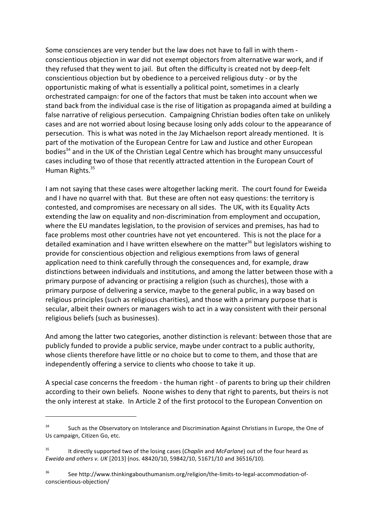Some consciences are very tender but the law does not have to fall in with them conscientious objection in war did not exempt objectors from alternative war work, and if they refused that they went to jail. But often the difficulty is created not by deep-felt conscientious objection but by obedience to a perceived religious duty - or by the opportunistic making of what is essentially a political point, sometimes in a clearly orchestrated campaign: for one of the factors that must be taken into account when we stand back from the individual case is the rise of litigation as propaganda aimed at building a false narrative of religious persecution. Campaigning Christian bodies often take on unlikely cases and are not worried about losing because losing only adds colour to the appearance of persecution. This is what was noted in the Jay Michaelson report already mentioned. It is part of the motivation of the European Centre for Law and Justice and other European bodies<sup>34</sup> and in the UK of the Christian Legal Centre which has brought many unsuccessful cases including two of those that recently attracted attention in the European Court of Human Rights.<sup>35</sup>

I am not saying that these cases were altogether lacking merit. The court found for Eweida and I have no quarrel with that. But these are often not easy questions: the territory is contested, and compromises are necessary on all sides. The UK, with its Equality Acts extending the law on equality and non-discrimination from employment and occupation, where the EU mandates legislation, to the provision of services and premises, has had to face problems most other countries have not yet encountered. This is not the place for a detailed examination and I have written elsewhere on the matter<sup>36</sup> but legislators wishing to provide for conscientious objection and religious exemptions from laws of general application need to think carefully through the consequences and, for example, draw distinctions between individuals and institutions, and among the latter between those with a primary purpose of advancing or practising a religion (such as churches), those with a primary purpose of delivering a service, maybe to the general public, in a way based on religious principles (such as religious charities), and those with a primary purpose that is secular, albeit their owners or managers wish to act in a way consistent with their personal religious beliefs (such as businesses).

And among the latter two categories, another distinction is relevant: between those that are publicly funded to provide a public service, maybe under contract to a public authority, whose clients therefore have little or no choice but to come to them, and those that are independently offering a service to clients who choose to take it up.

A special case concerns the freedom - the human right - of parents to bring up their children according to their own beliefs. Noone wishes to deny that right to parents, but theirs is not the only interest at stake. In Article 2 of the first protocol to the European Convention on

<sup>&</sup>lt;sup>34</sup> Such as the Observatory on Intolerance and Discrimination Against Christians in Europe, the One of Us campaign, Citizen Go, etc.

<sup>35</sup> It directly supported two of the losing cases (*Chaplin* and *McFarlane*) out of the four heard as *Eweida and others v. UK* [2013] (nos. 48420/10, 59842/10, 51671/10 and 36516/10).

<sup>36</sup> See http://www.thinkingabouthumanism.org/religion/the-limits-to-legal-accommodation-ofconscientious-objection/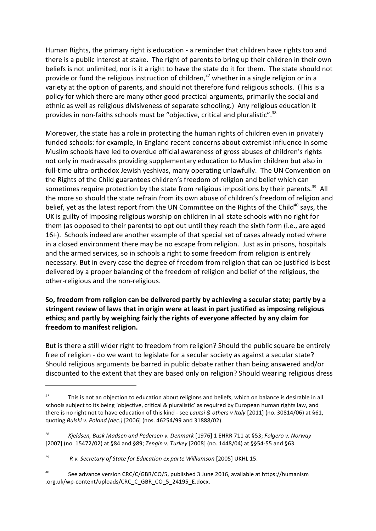Human Rights, the primary right is education - a reminder that children have rights too and there is a public interest at stake. The right of parents to bring up their children in their own beliefs is not unlimited, nor is it a right to have the state do it for them. The state should not provide or fund the religious instruction of children,<sup>37</sup> whether in a single religion or in a variety at the option of parents, and should not therefore fund religious schools. (This is a policy for which there are many other good practical arguments, primarily the social and ethnic as well as religious divisiveness of separate schooling.) Any religious education it provides in non-faiths schools must be "objective, critical and pluralistic".<sup>38</sup>

Moreover, the state has a role in protecting the human rights of children even in privately funded schools: for example, in England recent concerns about extremist influence in some Muslim schools have led to overdue official awareness of gross abuses of children's rights not only in madrassahs providing supplementary education to Muslim children but also in full-time ultra-orthodox Jewish yeshivas, many operating unlawfully. The UN Convention on the Rights of the Child guarantees children's freedom of religion and belief which can sometimes require protection by the state from religious impositions by their parents.<sup>39</sup> All the more so should the state refrain from its own abuse of children's freedom of religion and belief, yet as the latest report from the UN Committee on the Rights of the Child<sup>40</sup> says, the UK is guilty of imposing religious worship on children in all state schools with no right for them (as opposed to their parents) to opt out until they reach the sixth form (i.e., are aged 16+). Schools indeed are another example of that special set of cases already noted where in a closed environment there may be no escape from religion. Just as in prisons, hospitals and the armed services, so in schools a right to some freedom from religion is entirely necessary. But in every case the degree of freedom from religion that can be justified is best delivered by a proper balancing of the freedom of religion and belief of the religious, the other-religious and the non-religious.

## **So, freedom from religion can be delivered partly by achieving a secular state; partly by a stringent review of laws that in origin were at least in part justified as imposing religious ethics; and partly by weighing fairly the rights of everyone affected by any claim for freedom to manifest religion.**

But is there a still wider right to freedom from religion? Should the public square be entirely free of religion - do we want to legislate for a secular society as against a secular state? Should religious arguments be barred in public debate rather than being answered and/or discounted to the extent that they are based only on religion? Should wearing religious dress

<sup>38</sup> *Kjeldsen, Busk Madsen and Pedersen v. Denmark* [1976] 1 EHRR 711 at §53; *Folgero v. Norway* [2007] (no. 15472/02) at §84 and §89; *Zengin v. Turkey* [2008] (no. 1448/04) at §§54-55 and §63.

<sup>40</sup> See advance version CRC/C/GBR/CO/5, published 3 June 2016, available at https://humanism .org.uk/wp-content/uploads/CRC\_C\_GBR\_CO\_5\_24195\_E.docx.

<sup>&</sup>lt;sup>37</sup> This is not an objection to education about religions and beliefs, which on balance is desirable in all schools subject to its being 'objective, critical & pluralistic' as required by European human rights law, and there is no right not to have education of this kind - see *Lautsi & others v Italy* [2011] (no. 30814/06) at §61, quoting *Bulski v. Poland (dec.)* [2006] (nos. 46254/99 and 31888/02).

<sup>39</sup> *R v. Secretary of State for Education ex parte Williamson* [2005] UKHL 15.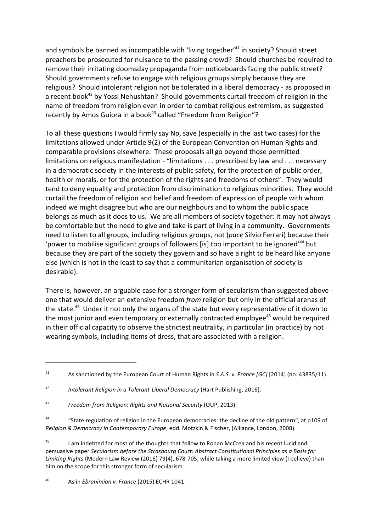and symbols be banned as incompatible with 'living together'<sup>41</sup> in society? Should street preachers be prosecuted for nuisance to the passing crowd? Should churches be required to remove their irritating doomsday propaganda from noticeboards facing the public street? Should governments refuse to engage with religious groups simply because they are religious? Should intolerant religion not be tolerated in a liberal democracy - as proposed in a recent book<sup>42</sup> by Yossi Nehushtan? Should governments curtail freedom of religion in the name of freedom from religion even in order to combat religious extremism, as suggested recently by Amos Guiora in a book<sup>43</sup> called "Freedom from Religion"?

To all these questions I would firmly say No, save (especially in the last two cases) for the limitations allowed under Article 9(2) of the European Convention on Human Rights and comparable provisions elsewhere. These proposals all go beyond those permitted limitations on religious manifestation - "limitations . . . prescribed by law and . . . necessary in a democratic society in the interests of public safety, for the protection of public order, health or morals, or for the protection of the rights and freedoms of others". They would tend to deny equality and protection from discrimination to religious minorities. They would curtail the freedom of religion and belief and freedom of expression of people with whom indeed we might disagree but who are our neighbours and to whom the public space belongs as much as it does to us. We are all members of society together: it may not always be comfortable but the need to give and take is part of living in a community. Governments need to listen to all groups, including religious groups, not (*pace* Silvio Ferrari) because their 'power to mobilise significant groups of followers [is] too important to be ignored'<sup>44</sup> but because they are part of the society they govern and so have a right to be heard like anyone else (which is not in the least to say that a communitarian organisation of society is desirable).

There is, however, an arguable case for a stronger form of secularism than suggested above one that would deliver an extensive freedom *from* religion but only in the official arenas of the state.<sup>45</sup> Under it not only the organs of the state but every representative of it down to the most junior and even temporary or externally contracted employee<sup>46</sup> would be required in their official capacity to observe the strictest neutrality, in particular (in practice) by not wearing symbols, including items of dress, that are associated with a religion.

<sup>46</sup> As in *Ebrahimian v. France* (2015) ECHR 1041.

<sup>41</sup> As sanctioned by the European Court of Human Rights in *S.A.S. v. France [GC]* [2014] (no. 43835/11).

<sup>42</sup> *Intolerant Religion in a Tolerant-Liberal Democracy* (Hart Publishing, 2016).

<sup>43</sup> *Freedom from Religion: Rights and National Security* (OUP, 2013).

<sup>44</sup> "State regulation of religion in the European democracies: the decline of the old pattern", at p109 of *Religion & Democracy in Contemporary Europe*, edd. Motzkin & Fischer, (Alliance, London, 2008).

<sup>&</sup>lt;sup>45</sup> I am indebted for most of the thoughts that follow to Ronan McCrea and his recent lucid and persuasive paper *Secularism before the Strasbourg Court: Abstract Constitutional Principles as a Basis for Limiting Rights* (Modern Law Review (2016) 79(4), 678-705, while taking a more limited view (I believe) than him on the scope for this stronger form of secularism.